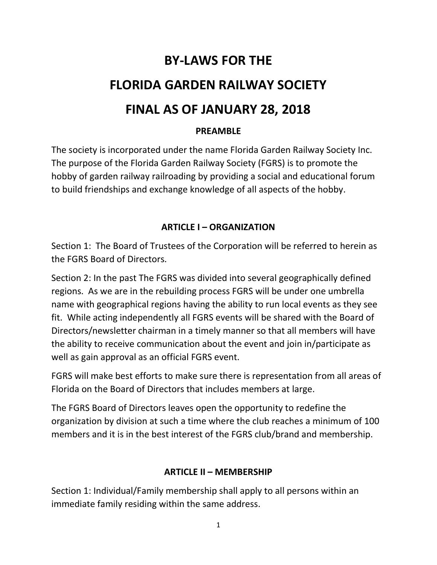# BY-LAWS FOR THE FLORIDA GARDEN RAILWAY SOCIETY FINAL AS OF JANUARY 28, 2018

#### PREAMBLE

The society is incorporated under the name Florida Garden Railway Society Inc. The purpose of the Florida Garden Railway Society (FGRS) is to promote the hobby of garden railway railroading by providing a social and educational forum to build friendships and exchange knowledge of all aspects of the hobby.

#### ARTICLE I – ORGANIZATION

Section 1: The Board of Trustees of the Corporation will be referred to herein as the FGRS Board of Directors.

Section 2: In the past The FGRS was divided into several geographically defined regions. As we are in the rebuilding process FGRS will be under one umbrella name with geographical regions having the ability to run local events as they see fit. While acting independently all FGRS events will be shared with the Board of Directors/newsletter chairman in a timely manner so that all members will have the ability to receive communication about the event and join in/participate as well as gain approval as an official FGRS event.

FGRS will make best efforts to make sure there is representation from all areas of Florida on the Board of Directors that includes members at large.

The FGRS Board of Directors leaves open the opportunity to redefine the organization by division at such a time where the club reaches a minimum of 100 members and it is in the best interest of the FGRS club/brand and membership.

#### ARTICLE II – MEMBERSHIP

Section 1: Individual/Family membership shall apply to all persons within an immediate family residing within the same address.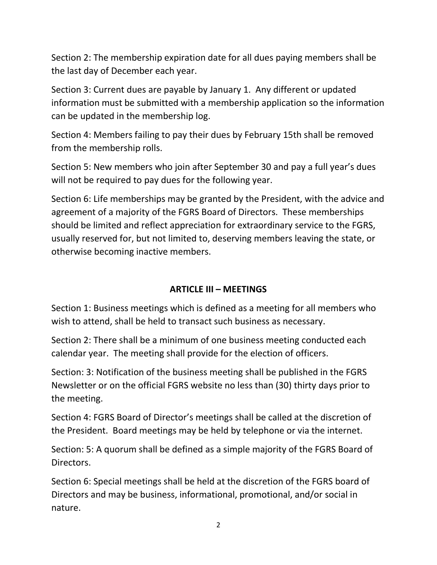Section 2: The membership expiration date for all dues paying members shall be the last day of December each year.

Section 3: Current dues are payable by January 1. Any different or updated information must be submitted with a membership application so the information can be updated in the membership log.

Section 4: Members failing to pay their dues by February 15th shall be removed from the membership rolls.

Section 5: New members who join after September 30 and pay a full year's dues will not be required to pay dues for the following year.

Section 6: Life memberships may be granted by the President, with the advice and agreement of a majority of the FGRS Board of Directors. These memberships should be limited and reflect appreciation for extraordinary service to the FGRS, usually reserved for, but not limited to, deserving members leaving the state, or otherwise becoming inactive members.

# ARTICLE III – MEETINGS

Section 1: Business meetings which is defined as a meeting for all members who wish to attend, shall be held to transact such business as necessary.

Section 2: There shall be a minimum of one business meeting conducted each calendar year. The meeting shall provide for the election of officers.

Section: 3: Notification of the business meeting shall be published in the FGRS Newsletter or on the official FGRS website no less than (30) thirty days prior to the meeting.

Section 4: FGRS Board of Director's meetings shall be called at the discretion of the President. Board meetings may be held by telephone or via the internet.

Section: 5: A quorum shall be defined as a simple majority of the FGRS Board of Directors.

Section 6: Special meetings shall be held at the discretion of the FGRS board of Directors and may be business, informational, promotional, and/or social in nature.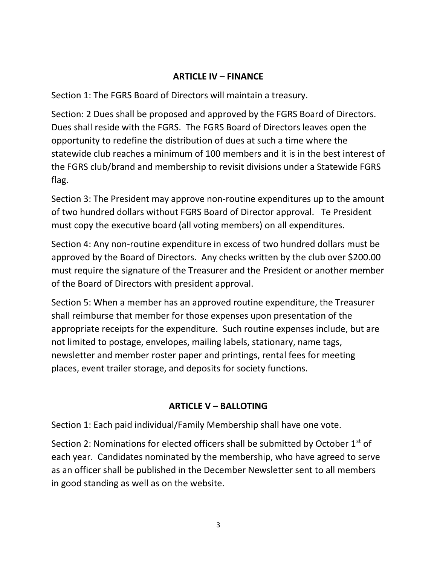#### ARTICLE IV – FINANCE

Section 1: The FGRS Board of Directors will maintain a treasury.

Section: 2 Dues shall be proposed and approved by the FGRS Board of Directors. Dues shall reside with the FGRS. The FGRS Board of Directors leaves open the opportunity to redefine the distribution of dues at such a time where the statewide club reaches a minimum of 100 members and it is in the best interest of the FGRS club/brand and membership to revisit divisions under a Statewide FGRS flag.

Section 3: The President may approve non-routine expenditures up to the amount of two hundred dollars without FGRS Board of Director approval. Te President must copy the executive board (all voting members) on all expenditures.

Section 4: Any non-routine expenditure in excess of two hundred dollars must be approved by the Board of Directors. Any checks written by the club over \$200.00 must require the signature of the Treasurer and the President or another member of the Board of Directors with president approval.

Section 5: When a member has an approved routine expenditure, the Treasurer shall reimburse that member for those expenses upon presentation of the appropriate receipts for the expenditure. Such routine expenses include, but are not limited to postage, envelopes, mailing labels, stationary, name tags, newsletter and member roster paper and printings, rental fees for meeting places, event trailer storage, and deposits for society functions.

#### ARTICLE V – BALLOTING

Section 1: Each paid individual/Family Membership shall have one vote.

Section 2: Nominations for elected officers shall be submitted by October  $1<sup>st</sup>$  of each year. Candidates nominated by the membership, who have agreed to serve as an officer shall be published in the December Newsletter sent to all members in good standing as well as on the website.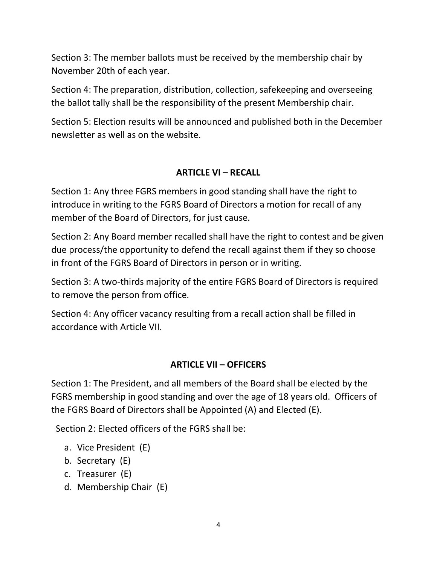Section 3: The member ballots must be received by the membership chair by November 20th of each year.

Section 4: The preparation, distribution, collection, safekeeping and overseeing the ballot tally shall be the responsibility of the present Membership chair.

Section 5: Election results will be announced and published both in the December newsletter as well as on the website.

#### ARTICLE VI – RECALL

Section 1: Any three FGRS members in good standing shall have the right to introduce in writing to the FGRS Board of Directors a motion for recall of any member of the Board of Directors, for just cause.

Section 2: Any Board member recalled shall have the right to contest and be given due process/the opportunity to defend the recall against them if they so choose in front of the FGRS Board of Directors in person or in writing.

Section 3: A two-thirds majority of the entire FGRS Board of Directors is required to remove the person from office.

Section 4: Any officer vacancy resulting from a recall action shall be filled in accordance with Article VII.

#### ARTICLE VII – OFFICERS

Section 1: The President, and all members of the Board shall be elected by the FGRS membership in good standing and over the age of 18 years old. Officers of the FGRS Board of Directors shall be Appointed (A) and Elected (E).

Section 2: Elected officers of the FGRS shall be:

- a. Vice President (E)
- b. Secretary (E)
- c. Treasurer (E)
- d. Membership Chair (E)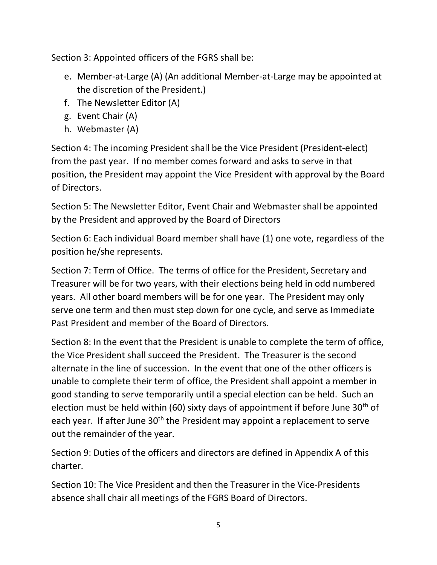Section 3: Appointed officers of the FGRS shall be:

- e. Member-at-Large (A) (An additional Member-at-Large may be appointed at the discretion of the President.)
- f. The Newsletter Editor (A)
- g. Event Chair (A)
- h. Webmaster (A)

Section 4: The incoming President shall be the Vice President (President-elect) from the past year. If no member comes forward and asks to serve in that position, the President may appoint the Vice President with approval by the Board of Directors.

Section 5: The Newsletter Editor, Event Chair and Webmaster shall be appointed by the President and approved by the Board of Directors

Section 6: Each individual Board member shall have (1) one vote, regardless of the position he/she represents.

Section 7: Term of Office. The terms of office for the President, Secretary and Treasurer will be for two years, with their elections being held in odd numbered years. All other board members will be for one year. The President may only serve one term and then must step down for one cycle, and serve as Immediate Past President and member of the Board of Directors.

Section 8: In the event that the President is unable to complete the term of office, the Vice President shall succeed the President. The Treasurer is the second alternate in the line of succession. In the event that one of the other officers is unable to complete their term of office, the President shall appoint a member in good standing to serve temporarily until a special election can be held. Such an election must be held within (60) sixty days of appointment if before June  $30<sup>th</sup>$  of each year. If after June 30<sup>th</sup> the President may appoint a replacement to serve out the remainder of the year.

Section 9: Duties of the officers and directors are defined in Appendix A of this charter.

Section 10: The Vice President and then the Treasurer in the Vice-Presidents absence shall chair all meetings of the FGRS Board of Directors.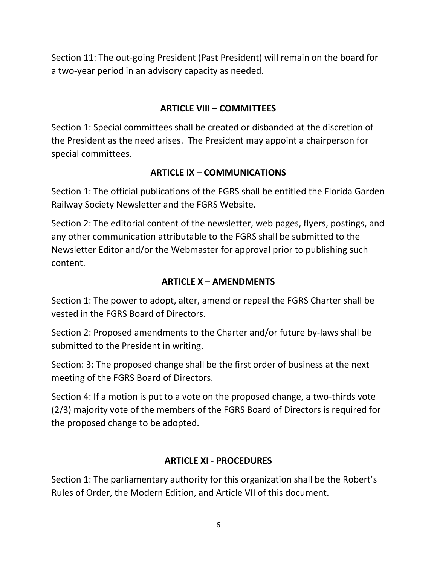Section 11: The out-going President (Past President) will remain on the board for a two-year period in an advisory capacity as needed.

# ARTICLE VIII – COMMITTEES

Section 1: Special committees shall be created or disbanded at the discretion of the President as the need arises. The President may appoint a chairperson for special committees.

#### ARTICLE IX – COMMUNICATIONS

Section 1: The official publications of the FGRS shall be entitled the Florida Garden Railway Society Newsletter and the FGRS Website.

Section 2: The editorial content of the newsletter, web pages, flyers, postings, and any other communication attributable to the FGRS shall be submitted to the Newsletter Editor and/or the Webmaster for approval prior to publishing such content.

### ARTICLE X – AMENDMENTS

Section 1: The power to adopt, alter, amend or repeal the FGRS Charter shall be vested in the FGRS Board of Directors.

Section 2: Proposed amendments to the Charter and/or future by-laws shall be submitted to the President in writing.

Section: 3: The proposed change shall be the first order of business at the next meeting of the FGRS Board of Directors.

Section 4: If a motion is put to a vote on the proposed change, a two-thirds vote (2/3) majority vote of the members of the FGRS Board of Directors is required for the proposed change to be adopted.

#### ARTICLE XI - PROCEDURES

Section 1: The parliamentary authority for this organization shall be the Robert's Rules of Order, the Modern Edition, and Article VII of this document.